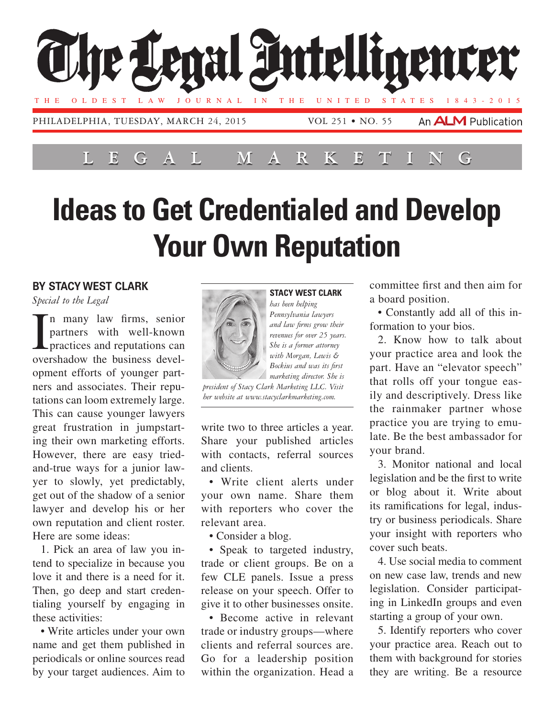

## **Ideas to Get Credentialed and Develop Your Own Reputation**

## **By Stacy West Clark**

*Special to the Legal*

In many law firms, senior<br>partners with well-known<br>practices and reputations can<br>overshadow the business develn many law firms, senior partners with well-known practices and reputations can opment efforts of younger partners and associates. Their reputations can loom extremely large. This can cause younger lawyers great frustration in jumpstarting their own marketing efforts. However, there are easy triedand-true ways for a junior lawyer to slowly, yet predictably, get out of the shadow of a senior lawyer and develop his or her own reputation and client roster. Here are some ideas:

1. Pick an area of law you intend to specialize in because you love it and there is a need for it. Then, go deep and start credentialing yourself by engaging in these activities:

• Write articles under your own name and get them published in periodicals or online sources read by your target audiences. Aim to



**Stacy West Clark** *has been helping Pennsylvania lawyers and law firms grow their revenues for over 25 years. She is a former attorney with Morgan, Lewis & Bockius and was its first marketing director. She is* 

*president of Stacy Clark Marketing LLC. Visit her website at www.stacyclarkmarketing.com.*

write two to three articles a year. Share your published articles with contacts, referral sources and clients.

• Write client alerts under your own name. Share them with reporters who cover the relevant area.

• Consider a blog.

• Speak to targeted industry, trade or client groups. Be on a few CLE panels. Issue a press release on your speech. Offer to give it to other businesses onsite.

• Become active in relevant trade or industry groups—where clients and referral sources are. Go for a leadership position within the organization. Head a

committee first and then aim for a board position.

• Constantly add all of this information to your bios.

2. Know how to talk about your practice area and look the part. Have an "elevator speech" that rolls off your tongue easily and descriptively. Dress like the rainmaker partner whose practice you are trying to emulate. Be the best ambassador for your brand.

3. Monitor national and local legislation and be the first to write or blog about it. Write about its ramifications for legal, industry or business periodicals. Share your insight with reporters who cover such beats.

4. Use social media to comment on new case law, trends and new legislation. Consider participating in LinkedIn groups and even starting a group of your own.

5. Identify reporters who cover your practice area. Reach out to them with background for stories they are writing. Be a resource